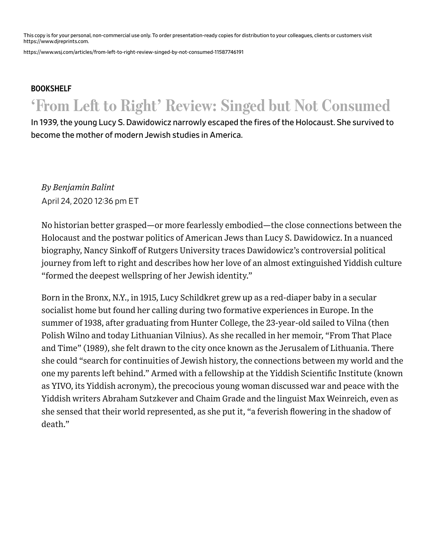This copy is for your personal, non-commercial use only. To order presentation-ready copies for distribution to your colleagues, clients or customers visit https://www.djreprints.com.

https://www.wsj.com/articles/from-left-to-right-review-singed-by-not-consumed-11587746191

#### **[BOOKSHELF](https://www.wsj.com/news/types/bookshelf?mod=bigtop-breadcrumb)**

# 'From Left to Right' Review: Singed but Not Consumed

In 1939, the young Lucy S. Dawidowicz narrowly escaped the fires of the Holocaust. She survived to become the mother of modern Jewish studies in America.

April 24, 2020 1236 pm ET *By Benjamin Balint*

No historian better grasped—or more fearlessly embodied—the close connections between the Holocaust and the postwar politics of American Jews than Lucy S. Dawidowicz. In a nuanced biography, Nancy Sinkoff of Rutgers University traces Dawidowicz's controversial political journey from left to right and describes how her love of an almost extinguished Yiddish culture "formed the deepest wellspring of her Jewish identity."

Born in the Bronx, N.Y., in 1915, Lucy Schildkret grew up as a red-diaper baby in a secular socialist home but found her calling during two formative experiences in Europe. In the summer of 1938, after graduating from Hunter College, the 23-year-old sailed to Vilna (then Polish Wilno and today Lithuanian Vilnius). As she recalled in her memoir, "From That Place and Time" (1989), she felt drawn to the city once known as the Jerusalem of Lithuania. There she could "search for continuities of Jewish history, the connections between my world and the one my parents left behind." Armed with a fellowship at the Yiddish Scientific Institute (known as YIVO, its Yiddish acronym), the precocious young woman discussed war and peace with the Yiddish writers Abraham Sutzkever and Chaim Grade and the linguist Max Weinreich, even as she sensed that their world represented, as she put it, "a feverish flowering in the shadow of death."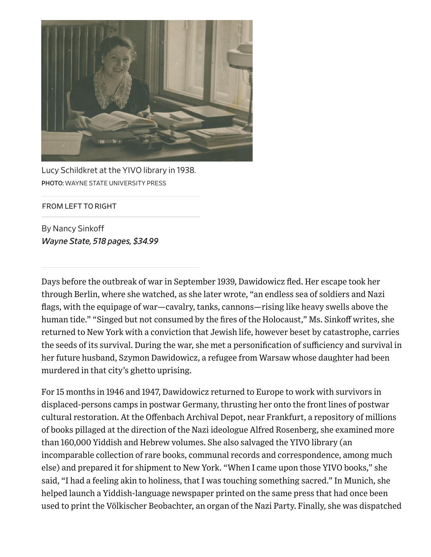

Lucy Schildkret at the YIVO library in 1938. PHOTO: WAYNE STATE UNIVERSITY PRESS

#### FROM LEFT TO RIGHT

By Nancy Sinko *Wayne State, 518 pages, \$34.99*

Days before the outbreak of war in September 1939, Dawidowicz fled. Her escape took her through Berlin, where she watched, as she later wrote, "an endless sea of soldiers and Nazi flags, with the equipage of war—cavalry, tanks, cannons—rising like heavy swells above the human tide." "Singed but not consumed by the fires of the Holocaust," Ms. Sinkoff writes, she returned to New York with a conviction that Jewish life, however beset by catastrophe, carries the seeds of its survival. During the war, she met a personification of sufficiency and survival in her future husband, Szymon Dawidowicz, a refugee from Warsaw whose daughter had been murdered in that city's ghetto uprising.

For 15 months in 1946 and 1947, Dawidowicz returned to Europe to work with survivors in displaced-persons camps in postwar Germany, thrusting her onto the front lines of postwar cultural restoration. At the Offenbach Archival Depot, near Frankfurt, a repository of millions of books pillaged at the direction of the Nazi ideologue Alfred Rosenberg, she examined more than 160,000 Yiddish and Hebrew volumes. She also salvaged the YIVO library (an incomparable collection of rare books, communal records and correspondence, among much else) and prepared it for shipment to New York. "When I came upon those YIVO books," she said, "I had a feeling akin to holiness, that I was touching something sacred." In Munich, she helped launch a Yiddish-language newspaper printed on the same press that had once been used to print the Völkischer Beobachter, an organ of the Nazi Party. Finally, she was dispatched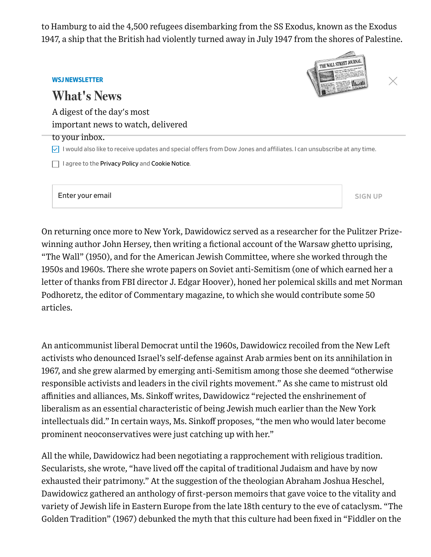to Hamburg to aid the 4,500 refugees disembarking from the SS Exodus, known as the Exodus 1947, a ship that the British had violently turned away in July 1947 from the shores of Palestine.



Enter your email states and the state of the state of the state of the state of the state of the state of the state of the state of the state of the state of the state of the state of the state of the state of the state of

On returning once more to New York, Dawidowicz served as a researcher for the Pulitzer Prizewinning author John Hersey, then writing a fictional account of the Warsaw ghetto uprising, "The Wall" (1950), and for the American Jewish Committee, where she worked through the 1950s and 1960s. There she wrote papers on Soviet anti-Semitism (one of which earned her a letter of thanks from FBI director J. Edgar Hoover), honed her polemical skills and met Norman Podhoretz, the editor of Commentary magazine, to which she would contribute some 50 articles.

An anticommunist liberal Democrat until the 1960s, Dawidowicz recoiled from the New Left activists who denounced Israel's self-defense against Arab armies bent on its annihilation in 1967, and she grew alarmed by emerging anti-Semitism among those she deemed "otherwise responsible activists and leaders in the civil rights movement." As she came to mistrust old affinities and alliances, Ms. Sinkoff writes, Dawidowicz "rejected the enshrinement of liberalism as an essential characteristic of being Jewish much earlier than the New York intellectuals did." In certain ways, Ms. Sinkoff proposes, "the men who would later become prominent neoconservatives were just catching up with her."

All the while, Dawidowicz had been negotiating a rapprochement with religious tradition. Secularists, she wrote, "have lived off the capital of traditional Judaism and have by now exhausted their patrimony." At the suggestion of the theologian Abraham Joshua Heschel, Dawidowicz gathered an anthology of first-person memoirs that gave voice to the vitality and variety of Jewish life in Eastern Europe from the late 18th century to the eve of cataclysm. "The Golden Tradition" (1967) debunked the myth that this culture had been fixed in "Fiddler on the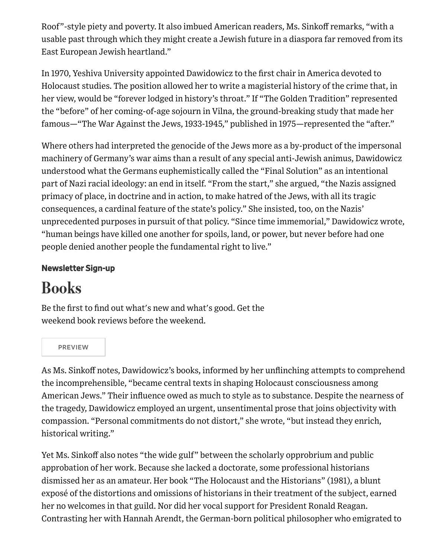Roof"-style piety and poverty. It also imbued American readers, Ms. Sinkoff remarks, "with a usable past through which they might create a Jewish future in a diaspora far removed from its East European Jewish heartland."

In 1970, Yeshiva University appointed Dawidowicz to the first chair in America devoted to Holocaust studies. The position allowed her to write a magisterial history of the crime that, in her view, would be "forever lodged in history's throat." If "The Golden Tradition" represented the "before" of her coming-of-age sojourn in Vilna, the ground-breaking study that made her famous—"The War Against the Jews, 1933-1945," published in 1975—represented the "after."

Where others had interpreted the genocide of the Jews more as a by-product of the impersonal machinery of Germany's war aims than a result of any special anti-Jewish animus, Dawidowicz understood what the Germans euphemistically called the "Final Solution" as an intentional part of Nazi racial ideology: an end in itself. "From the start," she argued, "the Nazis assigned primacy of place, in doctrine and in action, to make hatred of the Jews, with all its tragic consequences, a cardinal feature of the state's policy." She insisted, too, on the Nazis' unprecedented purposes in pursuit of that policy. "Since time immemorial," Dawidowicz wrote, "human beings have killed one another for spoils, land, or power, but never before had one people denied another people the fundamental right to live."

### Newsletter Sign-up

## Books

Be the first to find out what's new and what's good. Get the weekend book reviews before the weekend.

PREVIEW

As Ms. Sinkoff notes, Dawidowicz's books, informed by her unflinching attempts to comprehend the incomprehensible, "became central texts in shaping Holocaust consciousness among American Jews." Their influence owed as much to style as to substance. Despite the nearness of the tragedy, Dawidowicz employed an urgent, unsentimental prose that joins objectivity with compassion. "Personal commitments do not distort," she wrote, "but instead they enrich, historical writing."

Yet Ms. Sinkoff also notes "the wide gulf" between the scholarly opprobrium and public approbation of her work. Because she lacked a doctorate, some professional historians dismissed her as an amateur. Her book "The Holocaust and the Historians" (1981), a blunt exposé of the distortions and omissions of historians in their treatment of the subject, earned her no welcomes in that guild. Nor did her vocal support for President Ronald Reagan. Contrasting her with Hannah Arendt, the German-born political philosopher who emigrated to